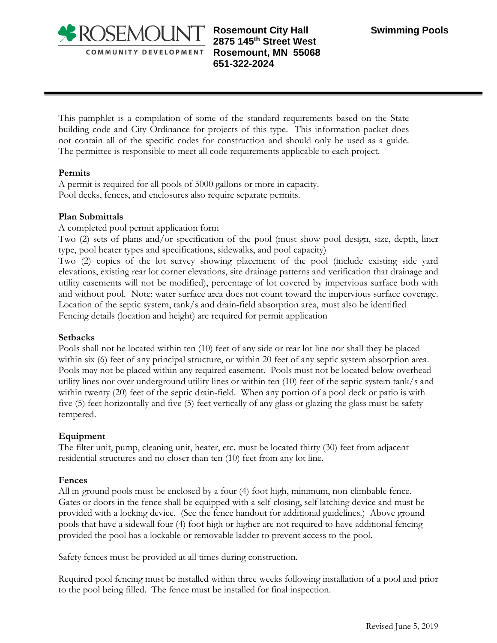

**Rosemount City Hall Swimming Pools 2875 145th Street West Rosemount, MN 55068 651-322-2024** 

This pamphlet is a compilation of some of the standard requirements based on the State building code and City Ordinance for projects of this type. This information packet does not contain all of the specific codes for construction and should only be used as a guide. The permittee is responsible to meet all code requirements applicable to each project.

#### **Permits**

A permit is required for all pools of 5000 gallons or more in capacity. Pool decks, fences, and enclosures also require separate permits.

### **Plan Submittals**

A completed pool permit application form

Two (2) sets of plans and/or specification of the pool (must show pool design, size, depth, liner type, pool heater types and specifications, sidewalks, and pool capacity)

Two (2) copies of the lot survey showing placement of the pool (include existing side yard elevations, existing rear lot corner elevations, site drainage patterns and verification that drainage and utility easements will not be modified), percentage of lot covered by impervious surface both with and without pool. Note: water surface area does not count toward the impervious surface coverage. Location of the septic system, tank/s and drain-field absorption area, must also be identified Fencing details (location and height) are required for permit application

#### **Setbacks**

Pools shall not be located within ten (10) feet of any side or rear lot line nor shall they be placed within six (6) feet of any principal structure, or within 20 feet of any septic system absorption area. Pools may not be placed within any required easement. Pools must not be located below overhead utility lines nor over underground utility lines or within ten (10) feet of the septic system tank/s and within twenty (20) feet of the septic drain-field. When any portion of a pool deck or patio is with five (5) feet horizontally and five (5) feet vertically of any glass or glazing the glass must be safety tempered.

# **Equipment**

The filter unit, pump, cleaning unit, heater, etc. must be located thirty (30) feet from adjacent residential structures and no closer than ten (10) feet from any lot line.

#### **Fences**

All in-ground pools must be enclosed by a four (4) foot high, minimum, non-climbable fence. Gates or doors in the fence shall be equipped with a self-closing, self latching device and must be provided with a locking device. (See the fence handout for additional guidelines.) Above ground pools that have a sidewall four (4) foot high or higher are not required to have additional fencing provided the pool has a lockable or removable ladder to prevent access to the pool.

Safety fences must be provided at all times during construction.

Required pool fencing must be installed within three weeks following installation of a pool and prior to the pool being filled. The fence must be installed for final inspection.